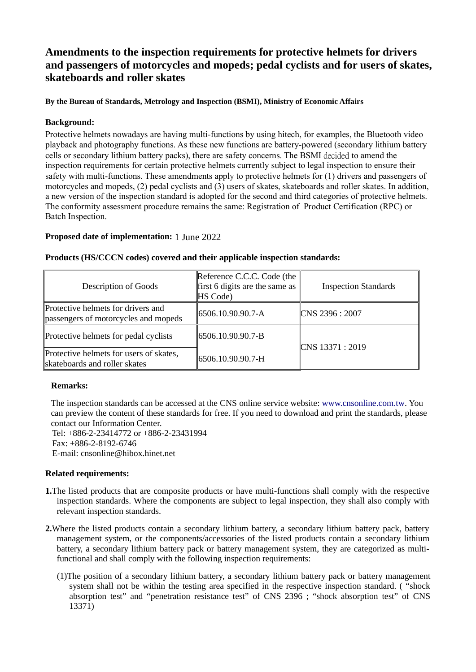# Amendments to the inspection requirements for protective helmets for drivers and passengers of motorcycles and mopeds; pedal cyclists and for users of skates, skateboards and roller skates

## By the Bureau of Standards, Metrology and Inspection (BSMI), Ministry of Economic Affairs

## Background:

Protective helmets nowadays are having multi-functions by using hitech, for examples, the Bluetooth video playback and photography functions. As these new functions are battery-powered (secondary lithium battery cells or secondary lithium battery packs), there are safety concerns. The BSMI decided to amend the inspection requirements for certain protective helmets currently subject to legal inspection to ensure their safety with multi-functions. These amendments apply to protective helmets for (1) drivers and passengers of motorcycles and mopeds, (2) pedal cyclists and (3) users of skates, skateboards and roller skates. In addition, a new version of the inspection standard is adopted for the second and third categories of protective helmets. The conformity assessment procedure remains the same: Registration of Product Certification (RPC) or Batch Inspection.

## Proposed date of implementation: 1 June 2022

| <b>Description of Goods</b>                                                | Reference C.C.C. Code (the<br>first 6 digits are the same as<br><b>HS</b> Code) | <b>Inspection Standards</b> |
|----------------------------------------------------------------------------|---------------------------------------------------------------------------------|-----------------------------|
| Protective helmets for drivers and<br>passengers of motorcycles and mopeds | $\parallel$ 6506.10.90.90.7-A                                                   | CNS 2396: 2007              |
| Protective helmets for pedal cyclists                                      | $ 6506.10.90.90.7-B$                                                            | ℃NS 13371 : 2019            |
| Protective helmets for users of skates,<br>skateboards and roller skates   | 6506.10.90.90.7-H                                                               |                             |

#### Products (HS/CCCN codes) covered and their applicable inspection standards:

## Remarks:

The inspection standards can be accessed at the CNS online service website: www.cnsonline.com.tw. You can preview the content of these standards for free. If you need to download and print the standards, please contact our Information Center.

Tel: +886-2-23414772 or +886-2-23431994 Fax: +886-2-8192-6746 E-mail: cnsonline@hibox.hinet.net

## Related requirements:

- 1.The listed products that are composite products or have multi-functions shall comply with the respective inspection standards. Where the components are subject to legal inspection, they shall also comply with relevant inspection standards.
- 2.Where the listed products contain a secondary lithium battery, a secondary lithium battery pack, battery management system, or the components/accessories of the listed products contain a secondary lithium battery, a secondary lithium battery pack or battery management system, they are categorized as multifunctional and shall comply with the following inspection requirements:
	- (1)The position of a secondary lithium battery, a secondary lithium battery pack or battery management system shall not be within the testing area specified in the respective inspection standard. ( "shock absorption test" and "penetration resistance test" of CNS 2396 ; "shock absorption test" of CNS 13371)